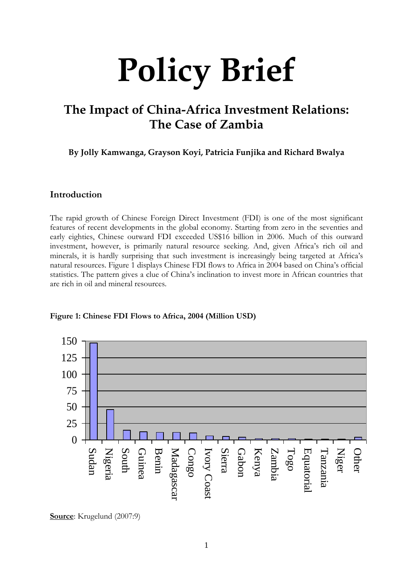# **Policy Brief**

# **The Impact of China-Africa Investment Relations: The Case of Zambia**

**By Jolly Kamwanga, Grayson Koyi, Patricia Funjika and Richard Bwalya**

### **Introduction**

The rapid growth of Chinese Foreign Direct Investment (FDI) is one of the most significant features of recent developments in the global economy. Starting from zero in the seventies and early eighties, Chinese outward FDI exceeded US\$16 billion in 2006. Much of this outward investment, however, is primarily natural resource seeking. And, given Africa's rich oil and minerals, it is hardly surprising that such investment is increasingly being targeted at Africa's natural resources. Figure 1 displays Chinese FDI flows to Africa in 2004 based on China's official statistics. The pattern gives a clue of China's inclination to invest more in African countries that are rich in oil and mineral resources.



#### **Figure 1: Chinese FDI Flows to Africa, 2004 (Million USD)**

**Source**: Krugelund (2007:9)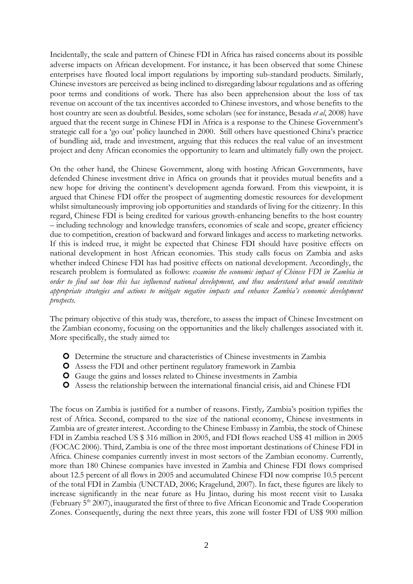Incidentally, the scale and pattern of Chinese FDI in Africa has raised concerns about its possible adverse impacts on African development. For instance, it has been observed that some Chinese enterprises have flouted local import regulations by importing sub-standard products. Similarly, Chinese investors are perceived as being inclined to disregarding labour regulations and as offering poor terms and conditions of work. There has also been apprehension about the loss of tax revenue on account of the tax incentives accorded to Chinese investors, and whose benefits to the host country are seen as doubtful. Besides, some scholars (see for instance, Besada *et al*, 2008) have argued that the recent surge in Chinese FDI in Africa is a response to the Chinese Government's strategic call for a 'go out' policy launched in 2000. Still others have questioned China's practice of bundling aid, trade and investment, arguing that this reduces the real value of an investment project and deny African economies the opportunity to learn and ultimately fully own the project.

On the other hand, the Chinese Government, along with hosting African Governments, have defended Chinese investment drive in Africa on grounds that it provides mutual benefits and a new hope for driving the continent's development agenda forward. From this viewpoint, it is argued that Chinese FDI offer the prospect of augmenting domestic resources for development whilst simultaneously improving job opportunities and standards of living for the citizenry. In this regard, Chinese FDI is being credited for various growth-enhancing benefits to the host country – including technology and knowledge transfers, economies of scale and scope, greater efficiency due to competition, creation of backward and forward linkages and access to marketing networks. If this is indeed true, it might be expected that Chinese FDI should have positive effects on national development in host African economies. This study calls focus on Zambia and asks whether indeed Chinese FDI has had positive effects on national development. Accordingly, the research problem is formulated as follows: *examine the economic impact of Chinese FDI in Zambia in order to find out how this has influenced national development, and thus understand what would constitute appropriate strategies and actions to mitigate negative impacts and enhance Zambia's economic development prospects*.

The primary objective of this study was, therefore, to assess the impact of Chinese Investment on the Zambian economy, focusing on the opportunities and the likely challenges associated with it. More specifically, the study aimed to:

- Determine the structure and characteristics of Chinese investments in Zambia
- Assess the FDI and other pertinent regulatory framework in Zambia
- Gauge the gains and losses related to Chinese investments in Zambia
- Assess the relationship between the international financial crisis, aid and Chinese FDI

The focus on Zambia is justified for a number of reasons. Firstly, Zambia's position typifies the rest of Africa. Second, compared to the size of the national economy, Chinese investments in Zambia are of greater interest. According to the Chinese Embassy in Zambia, the stock of Chinese FDI in Zambia reached US \$ 316 million in 2005, and FDI flows reached US\$ 41 million in 2005 (FOCAC 2006). Third, Zambia is one of the three most important destinations of Chinese FDI in Africa. Chinese companies currently invest in most sectors of the Zambian economy. Currently, more than 180 Chinese companies have invested in Zambia and Chinese FDI flows comprised about 12.5 percent of all flows in 2005 and accumulated Chinese FDI now comprise 10.5 percent of the total FDI in Zambia (UNCTAD, 2006; Kragelund, 2007). In fact, these figures are likely to increase significantly in the near future as Hu Jintao, during his most recent visit to Lusaka (February 5th 2007), inaugurated the first of three to five African Economic and Trade Cooperation Zones. Consequently, during the next three years, this zone will foster FDI of US\$ 900 million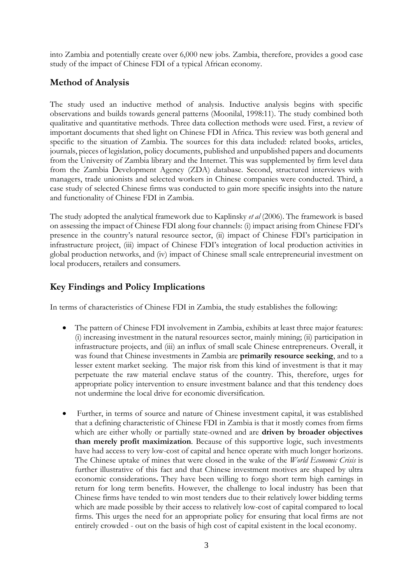into Zambia and potentially create over 6,000 new jobs. Zambia, therefore, provides a good case study of the impact of Chinese FDI of a typical African economy.

# **Method of Analysis**

The study used an inductive method of analysis. Inductive analysis begins with specific observations and builds towards general patterns (Moonilal, 1998:11). The study combined both qualitative and quantitative methods. Three data collection methods were used. First, a review of important documents that shed light on Chinese FDI in Africa. This review was both general and specific to the situation of Zambia. The sources for this data included: related books, articles, journals, pieces of legislation, policy documents, published and unpublished papers and documents from the University of Zambia library and the Internet. This was supplemented by firm level data from the Zambia Development Agency (ZDA) database. Second, structured interviews with managers, trade unionists and selected workers in Chinese companies were conducted. Third, a case study of selected Chinese firms was conducted to gain more specific insights into the nature and functionality of Chinese FDI in Zambia.

The study adopted the analytical framework due to Kaplinsky *et al* (2006). The framework is based on assessing the impact of Chinese FDI along four channels: (i) impact arising from Chinese FDI's presence in the country's natural resource sector, (ii) impact of Chinese FDI's participation in infrastructure project, (iii) impact of Chinese FDI's integration of local production activities in global production networks, and (iv) impact of Chinese small scale entrepreneurial investment on local producers, retailers and consumers.

# **Key Findings and Policy Implications**

In terms of characteristics of Chinese FDI in Zambia, the study establishes the following:

- The pattern of Chinese FDI involvement in Zambia, exhibits at least three major features: (i) increasing investment in the natural resources sector, mainly mining; (ii) participation in infrastructure projects, and (iii) an influx of small scale Chinese entrepreneurs. Overall, it was found that Chinese investments in Zambia are **primarily resource seeking**, and to a lesser extent market seeking. The major risk from this kind of investment is that it may perpetuate the raw material enclave status of the country. This, therefore, urges for appropriate policy intervention to ensure investment balance and that this tendency does not undermine the local drive for economic diversification.
- Further, in terms of source and nature of Chinese investment capital, it was established that a defining characteristic of Chinese FDI in Zambia is that it mostly comes from firms which are either wholly or partially state-owned and are **driven by broader objectives than merely profit maximization**. Because of this supportive logic, such investments have had access to very low-cost of capital and hence operate with much longer horizons. The Chinese uptake of mines that were closed in the wake of the *World Economic Crisis* is further illustrative of this fact and that Chinese investment motives are shaped by ultra economic considerations**.** They have been willing to forgo short term high earnings in return for long term benefits. However, the challenge to local industry has been that Chinese firms have tended to win most tenders due to their relatively lower bidding terms which are made possible by their access to relatively low-cost of capital compared to local firms. This urges the need for an appropriate policy for ensuring that local firms are not entirely crowded - out on the basis of high cost of capital existent in the local economy.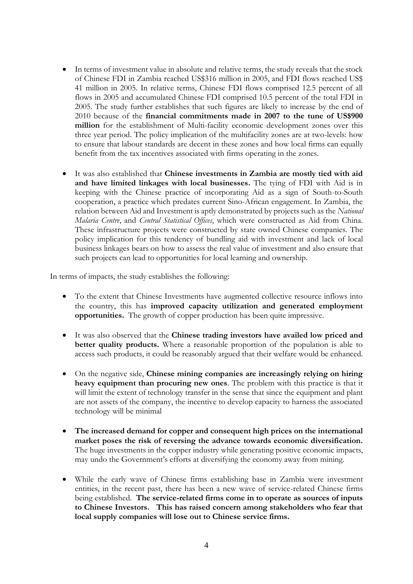- In terms of investment value in absolute and relative terms, the study reveals that the stock of Chinese FDI in Zambia reached US\$316 million in 2005, and FDI flows reached US\$ 41 million in 2005. In relative terms, Chinese FDI flows comprised 12.5 percent of all flows in 2005 and accumulated Chinese FDI comprised 10.5 percent of the total FDI in 2005. The study further establishes that such figures are likely to increase by the end of 2010 because of the **financial commitments made in 2007 to the tune of US\$900 million** for the establishment of Multi-facility economic development zones over this three year period. The policy implication of the multifacility zones are at two-levels: how to ensure that labour standards are decent in these zones and how local firms can equally benefit from the tax incentives associated with firms operating in the zones.
- It was also established that **Chinese investments in Zambia are mostly tied with aid and have limited linkages with local businesses.** The tying of FDI with Aid is in keeping with the Chinese practice of incorporating Aid as a sign of South-to-South cooperation, a practice which predates current Sino-African engagement. In Zambia, the relation between Aid and Investment is aptly demonstrated by projects such as the *National Malaria Centre*, and *Central Statistical Offices*, which were constructed as Aid from China. These infrastructure projects were constructed by state owned Chinese companies. The policy implication for this tendency of bundling aid with investment and lack of local business linkages bears on how to assess the real value of investment and also ensure that such projects can lead to opportunities for local learning and ownership.

In terms of impacts, the study establishes the following:

- To the extent that Chinese Investments have augmented collective resource inflows into the country, this has **improved capacity utilization and generated employment opportunities.** The growth of copper production has been quite impressive.
- It was also observed that the **Chinese trading investors have availed low priced and better quality products.** Where a reasonable proportion of the population is able to access such products, it could be reasonably argued that their welfare would be enhanced.
- On the negative side, **Chinese mining companies are increasingly relying on hiring heavy equipment than procuring new ones**. The problem with this practice is that it will limit the extent of technology transfer in the sense that since the equipment and plant are not assets of the company, the incentive to develop capacity to harness the associated technology will be minimal
- **The increased demand for copper and consequent high prices on the international market poses the risk of reversing the advance towards economic diversification.**  The huge investments in the copper industry while generating positive economic impacts, may undo the Government's efforts at diversifying the economy away from mining.
- While the early wave of Chinese firms establishing base in Zambia were investment entities, in the recent past, there has been a new wave of service-related Chinese firms being established. **The service-related firms come in to operate as sources of inputs to Chinese Investors. This has raised concern among stakeholders who fear that local supply companies will lose out to Chinese service firms.**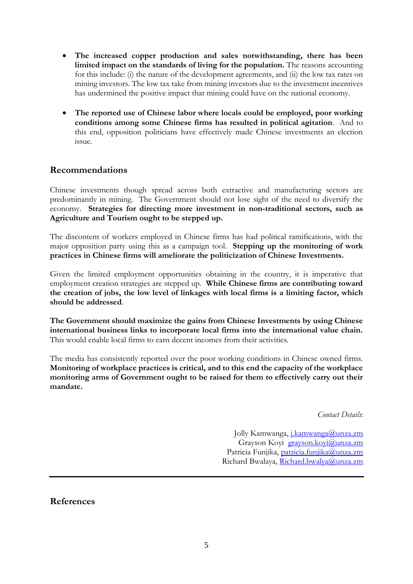- **The increased copper production and sales notwithstanding, there has been limited impact on the standards of living for the population.** The reasons accounting for this include: (i) the nature of the development agreements, and (ii) the low tax rates on mining investors. The low tax take from mining investors due to the investment incentives has undermined the positive impact that mining could have on the national economy.
- **The reported use of Chinese labor where locals could be employed, poor working conditions among some Chinese firms has resulted in political agitation**. And to this end, opposition politicians have effectively made Chinese investments an election issue.

# **Recommendations**

Chinese investments though spread across both extractive and manufacturing sectors are predominantly in mining. The Government should not lose sight of the need to diversify the economy. **Strategies for directing more investment in non-traditional sectors, such as Agriculture and Tourism ought to be stepped up.** 

The discontent of workers employed in Chinese firms has had political ramifications, with the major opposition party using this as a campaign tool. **Stepping up the monitoring of work practices in Chinese firms will ameliorate the politicization of Chinese Investments.** 

Given the limited employment opportunities obtaining in the country, it is imperative that employment creation strategies are stepped up. **While Chinese firms are contributing toward the creation of jobs, the low level of linkages with local firms is a limiting factor, which should be addressed**.

**The Government should maximize the gains from Chinese Investments by using Chinese international business links to incorporate local firms into the international value chain.** This would enable local firms to earn decent incomes from their activities.

The media has consistently reported over the poor working conditions in Chinese owned firms. **Monitoring of workplace practices is critical, and to this end the capacity of the workplace monitoring arms of Government ought to be raised for them to effectively carry out their mandate.**

*Contact Details*:

Jolly Kamwanga, [j.kamwanga@unza.zm](mailto:j.kamwanga@unza.zm) Grayson Koyi [grayson.koyi@unza.zm](mailto:grayson.koyi@unza.zm) Patricia Funjika, [patricia.funjika@unza.zm](mailto:patricia.funjika@unza.zm) Richard Bwalaya, [Richard.bwalya@unza.zm](mailto:Richard.bwalya@unza.zm)

**References**